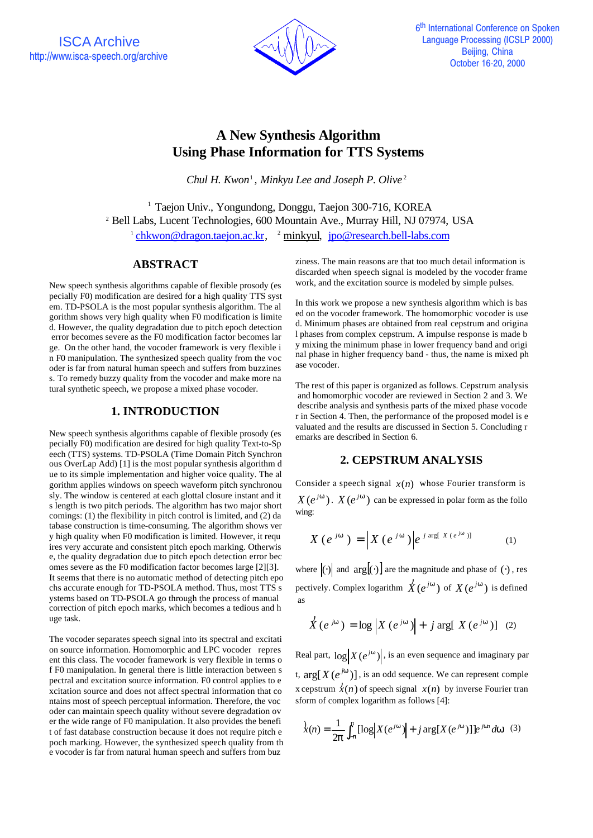ISCA Archive http://www.isca-speech.org/archive



# **A New Synthesis Algorithm Using Phase Information for TTS Systems**

Chul H. Kwon<sup>1</sup>, Minkyu Lee and Joseph P. Olive<sup>2</sup>

<sup>1</sup> Taejon Univ., Yongundong, Donggu, Taejon 300-716, KOREA <sup>2</sup> Bell Labs, Lucent Technologies, 600 Mountain Ave., Murray Hill, NJ 07974, USA <sup>1</sup> chkwon@dragon.taejon.ac.kr, <sup>2</sup> minkyul, jpo@research.bell-labs.com

#### **ABSTRACT**

New speech synthesis algorithms capable of flexible prosody (es pecially F0) modification are desired for a high quality TTS syst em. TD-PSOLA is the most popular synthesis algorithm. The al gorithm shows very high quality when F0 modification is limite d. However, the quality degradation due to pitch epoch detection error becomes severe as the F0 modification factor becomes lar ge. On the other hand, the vocoder framework is very flexible i n F0 manipulation. The synthesized speech quality from the voc oder is far from natural human speech and suffers from buzzines s. To remedy buzzy quality from the vocoder and make more na tural synthetic speech, we propose a mixed phase vocoder.

# **1. INTRODUCTION**

New speech synthesis algorithms capable of flexible prosody (es pecially F0) modification are desired for high quality Text-to-Sp eech (TTS) systems. TD-PSOLA (Time Domain Pitch Synchron ous OverLap Add) [1] is the most popular synthesis algorithm d ue to its simple implementation and higher voice quality. The al gorithm applies windows on speech waveform pitch synchronou sly. The window is centered at each glottal closure instant and it s length is two pitch periods. The algorithm has two major short comings: (1) the flexibility in pitch control is limited, and (2) da tabase construction is time-consuming. The algorithm shows ver y high quality when F0 modification is limited. However, it requ ires very accurate and consistent pitch epoch marking. Otherwis e, the quality degradation due to pitch epoch detection error bec omes severe as the F0 modification factor becomes large [2][3]. It seems that there is no automatic method of detecting pitch epo chs accurate enough for TD-PSOLA method. Thus, most TTS s ystems based on TD-PSOLA go through the process of manual correction of pitch epoch marks, which becomes a tedious and h uge task.

The vocoder separates speech signal into its spectral and excitati on source information. Homomorphic and LPC vocoder repres ent this class. The vocoder framework is very flexible in terms o f F0 manipulation. In general there is little interaction between s pectral and excitation source information. F0 control applies to e xcitation source and does not affect spectral information that co ntains most of speech perceptual information. Therefore, the voc oder can maintain speech quality without severe degradation ov er the wide range of F0 manipulation. It also provides the benefi t of fast database construction because it does not require pitch e poch marking. However, the synthesized speech quality from th e vocoder is far from natural human speech and suffers from buz

ziness. The main reasons are that too much detail information is discarded when speech signal is modeled by the vocoder frame work, and the excitation source is modeled by simple pulses.

In this work we propose a new synthesis algorithm which is bas ed on the vocoder framework. The homomorphic vocoder is use d. Minimum phases are obtained from real cepstrum and origina l phases from complex cepstrum. A impulse response is made b y mixing the minimum phase in lower frequency band and origi nal phase in higher frequency band - thus, the name is mixed ph ase vocoder.

The rest of this paper is organized as follows. Cepstrum analysis and homomorphic vocoder are reviewed in Section 2 and 3. We describe analysis and synthesis parts of the mixed phase vocode r in Section 4. Then, the performance of the proposed model is e valuated and the results are discussed in Section 5. Concluding r emarks are described in Section 6.

#### **2. CEPSTRUM ANALYSIS**

Consider a speech signal  $x(n)$  whose Fourier transform is  $X(e^{jw})$  *a*  $X(e^{jw})$  can be expressed in polar form as the follo wing:

$$
X\left(e^{jw}\right) = \left|X\left(e^{jw}\right)\right|e^{j\arg\left[X\left(e^{jw}\right)\right]} \tag{1}
$$

where  $|(.)|$  and  $arg[(.)]$  are the magnitude and phase of  $(.)$ , res pectively. Complex logarithm  $\overrightarrow{X}(e^{jw})$  of  $\overrightarrow{X}(e^{jw})$  is defined as

$$
\chi'(e^{jw}) = \log |X(e^{jw})| + j \arg[X(e^{jw})] \quad (2)
$$

Real part,  $\log \left| X(e^{jw}) \right|$ , is an even sequence and imaginary par t,  $\arg[X(e^{jw})]$  , is an odd sequence. We can represent comple x cepstrum  $\chi(n)$  of speech signal  $\chi(n)$  by inverse Fourier tran sform of complex logarithm as follows [4]:

$$
\chi(n) = \frac{1}{2p} \int_{-p}^{p} [\log X(e^{jw})] + j \arg[X(e^{jw})] e^{jw} dw
$$
 (3)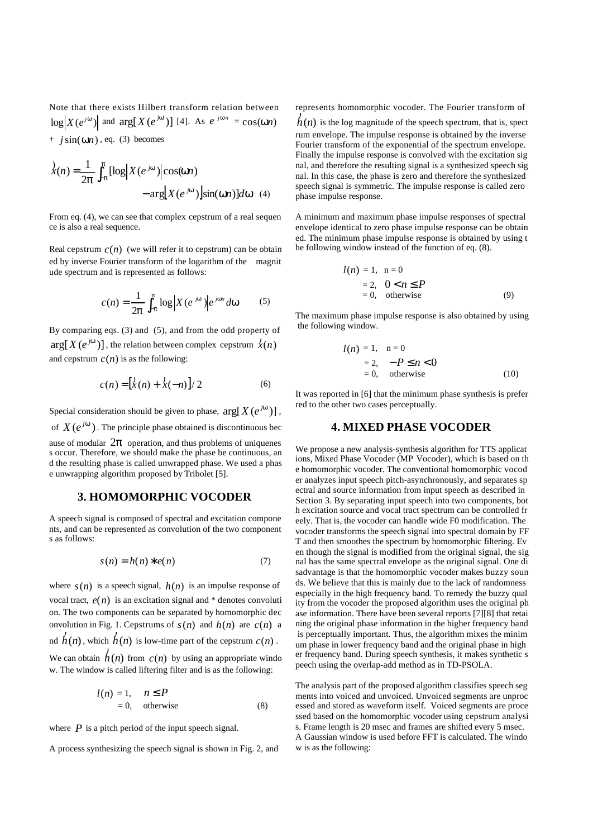Note that there exists Hilbert transform relation between  $\log |X(e^{jw})|$  and  $\arg[X(e^{jw})]$  [4]. As  $e^{jwn} = \cos(wn)$  $+$  *j*sin(*wn*), eq. (3) becomes

$$
\begin{aligned} \n\hat{\chi}(n) &= \frac{1}{2p} \int_{-p}^{p} \left[ \log \left| X(e^{jw}) \right| \cos(wn) \right. \\ \n&\quad - \arg \left[ X(e^{jw}) \right] \sin(wn) \left| dw \right. \n\end{aligned}
$$

From eq. (4), we can see that complex cepstrum of a real sequen ce is also a real sequence.

Real cepstrum  $c(n)$  (we will refer it to cepstrum) can be obtain ed by inverse Fourier transform of the logarithm of the magnit ude spectrum and is represented as follows:

$$
c(n) = \frac{1}{2p} \int_{-p}^{p} \log \left| X(e^{jw}) \right| e^{jwn} dw \qquad (5)
$$

By comparing eqs. (3) and (5), and from the odd property of  $\arg[X(e^{jw})]$ , the relation between complex cepstrum  $\chi(n)$ and cepstrum  $c(n)$  is as the following:

$$
c(n) = \frac{\left[\frac{1}{x}(n) + \frac{1}{x}(-n)\right]}{2}
$$
 (6)

Special consideration should be given to phase,  $\arg[X(e^{jw})]$ , of  $X(e^{jw})$ . The principle phase obtained is discontinuous bec ause of modular 2*p* operation, and thus problems of uniquenes s occur. Therefore, we should make the phase be continuous, an d the resulting phase is called unwrapped phase. We used a phas e unwrapping algorithm proposed by Tribolet [5].

# **3. HOMOMORPHIC VOCODER**

A speech signal is composed of spectral and excitation compone nts, and can be represented as convolution of the two component s as follows:

$$
s(n) = h(n) * e(n)
$$
 (7)

where  $s(n)$  is a speech signal,  $h(n)$  is an impulse response of vocal tract,  $e(n)$  is an excitation signal and  $*$  denotes convolutionon. The two components can be separated by homomorphic dec onvolution in Fig. 1. Cepstrums of  $s(n)$  and  $h(n)$  are  $c(n)$  a  $h(n)$ , which  $h(n)$  is low-time part of the cepstrum  $c(n)$ . We can obtain  $\hat{h}(n)$  from  $c(n)$  by using an appropriate windo w. The window is called liftering filter and is as the following:

$$
l(n) = 1, \quad n \le P
$$
  
= 0, otherwise (8)

where  $P$  is a pitch period of the input speech signal.

A process synthesizing the speech signal is shown in Fig. 2, and

represents homomorphic vocoder. The Fourier transform of )

 $h(n)$  is the log magnitude of the speech spectrum, that is, spect rum envelope. The impulse response is obtained by the inverse Fourier transform of the exponential of the spectrum envelope. Finally the impulse response is convolved with the excitation sig nal, and therefore the resulting signal is a synthesized speech sig nal. In this case, the phase is zero and therefore the synthesized speech signal is symmetric. The impulse response is called zero phase impulse response.

A minimum and maximum phase impulse responses of spectral envelope identical to zero phase impulse response can be obtain ed. The minimum phase impulse response is obtained by using t he following window instead of the function of eq. (8).

$$
l(n) = 1, \quad n = 0
$$
  
= 2, \quad 0 < n \le P  
= 0, \quad \text{otherwise} \tag{9}

The maximum phase impulse response is also obtained by using the following window.

$$
l(n) = 1, \quad n = 0
$$
  
= 2, \quad -P \le n < 0  
= 0, \quad \text{otherwise} \tag{10}

It was reported in [6] that the minimum phase synthesis is prefer red to the other two cases perceptually.

#### **4. MIXED PHASE VOCODER**

We propose a new analysis-synthesis algorithm for TTS applicat ions, Mixed Phase Vocoder (MP Vocoder), which is based on th e homomorphic vocoder. The conventional homomorphic vocod er analyzes input speech pitch-asynchronously, and separates sp ectral and source information from input speech as described in Section 3. By separating input speech into two components, bot h excitation source and vocal tract spectrum can be controlled fr eely. That is, the vocoder can handle wide F0 modification. The vocoder transforms the speech signal into spectral domain by FF T and then smoothes the spectrum by homomorphic filtering. Ev en though the signal is modified from the original signal, the sig nal has the same spectral envelope as the original signal. One di sadvantage is that the homomorphic vocoder makes buzzy soun ds. We believe that this is mainly due to the lack of randomness especially in the high frequency band. To remedy the buzzy qual ity from the vocoder the proposed algorithm uses the original ph ase information. There have been several reports [7][8] that retai ning the original phase information in the higher frequency band is perceptually important. Thus, the algorithm mixes the minim um phase in lower frequency band and the original phase in high er frequency band. During speech synthesis, it makes synthetic s peech using the overlap-add method as in TD-PSOLA.

The analysis part of the proposed algorithm classifies speech seg ments into voiced and unvoiced. Unvoiced segments are unproc essed and stored as waveform itself. Voiced segments are proce ssed based on the homomorphic vocoder using cepstrum analysi s. Frame length is 20 msec and frames are shifted every 5 msec. A Gaussian window is used before FFT is calculated. The windo w is as the following: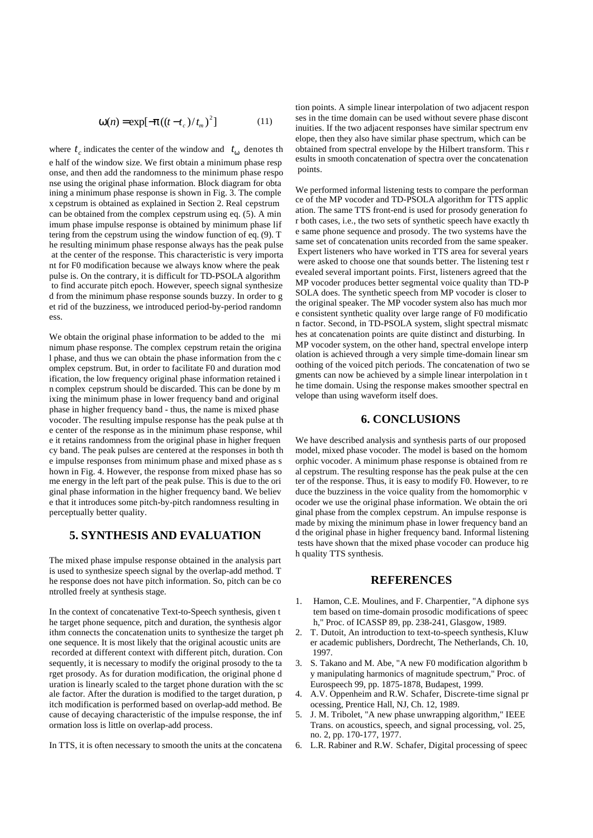$$
\mathbf{W}(n) = \exp[-\mathbf{p}((t-t_c)/t_m)^2]
$$
 (11)

where  $t_c$  indicates the center of the window and  $t_w$  denotes the e half of the window size. We first obtain a minimum phase resp onse, and then add the randomness to the minimum phase respo nse using the original phase information. Block diagram for obta ining a minimum phase response is shown in Fig. 3. The comple x cepstrum is obtained as explained in Section 2. Real cepstrum can be obtained from the complex cepstrum using eq. (5). A min imum phase impulse response is obtained by minimum phase lif tering from the cepstrum using the window function of eq. (9). T he resulting minimum phase response always has the peak pulse at the center of the response. This characteristic is very importa nt for F0 modification because we always know where the peak pulse is. On the contrary, it is difficult for TD-PSOLA algorithm to find accurate pitch epoch. However, speech signal synthesize d from the minimum phase response sounds buzzy. In order to g et rid of the buzziness, we introduced period-by-period randomn ess.

We obtain the original phase information to be added to the mi nimum phase response. The complex cepstrum retain the origina l phase, and thus we can obtain the phase information from the c omplex cepstrum. But, in order to facilitate F0 and duration mod ification, the low frequency original phase information retained i n complex cepstrum should be discarded. This can be done by m ixing the minimum phase in lower frequency band and original phase in higher frequency band - thus, the name is mixed phase vocoder. The resulting impulse response has the peak pulse at th e center of the response as in the minimum phase response, whil e it retains randomness from the original phase in higher frequen cy band. The peak pulses are centered at the responses in both th e impulse responses from minimum phase and mixed phase as s hown in Fig. 4. However, the response from mixed phase has so me energy in the left part of the peak pulse. This is due to the ori ginal phase information in the higher frequency band. We believ e that it introduces some pitch-by-pitch randomness resulting in perceptually better quality.

### **5. SYNTHESIS AND EVALUATION**

The mixed phase impulse response obtained in the analysis part is used to synthesize speech signal by the overlap-add method. T he response does not have pitch information. So, pitch can be co ntrolled freely at synthesis stage.

In the context of concatenative Text-to-Speech synthesis, given t he target phone sequence, pitch and duration, the synthesis algor ithm connects the concatenation units to synthesize the target ph one sequence. It is most likely that the original acoustic units are recorded at different context with different pitch, duration. Con sequently, it is necessary to modify the original prosody to the ta rget prosody. As for duration modification, the original phone d uration is linearly scaled to the target phone duration with the sc ale factor. After the duration is modified to the target duration, p itch modification is performed based on overlap-add method. Be cause of decaying characteristic of the impulse response, the inf ormation loss is little on overlap-add process.

In TTS, it is often necessary to smooth the units at the concatena

tion points. A simple linear interpolation of two adjacent respon ses in the time domain can be used without severe phase discont inuities. If the two adjacent responses have similar spectrum env elope, then they also have similar phase spectrum, which can be obtained from spectral envelope by the Hilbert transform. This r esults in smooth concatenation of spectra over the concatenation points.

We performed informal listening tests to compare the performan ce of the MP vocoder and TD-PSOLA algorithm for TTS applic ation. The same TTS front-end is used for prosody generation fo r both cases, i.e., the two sets of synthetic speech have exactly th e same phone sequence and prosody. The two systems have the same set of concatenation units recorded from the same speaker. Expert listeners who have worked in TTS area for several years were asked to choose one that sounds better. The listening test r evealed several important points. First, listeners agreed that the MP vocoder produces better segmental voice quality than TD-P SOLA does. The synthetic speech from MP vocoder is closer to the original speaker. The MP vocoder system also has much mor e consistent synthetic quality over large range of F0 modificatio n factor. Second, in TD-PSOLA system, slight spectral mismatc hes at concatenation points are quite distinct and disturbing. In MP vocoder system, on the other hand, spectral envelope interp olation is achieved through a very simple time-domain linear sm oothing of the voiced pitch periods. The concatenation of two se gments can now be achieved by a simple linear interpolation in t he time domain. Using the response makes smoother spectral en velope than using waveform itself does.

## **6. CONCLUSIONS**

We have described analysis and synthesis parts of our proposed model, mixed phase vocoder. The model is based on the homom orphic vocoder. A minimum phase response is obtained from re al cepstrum. The resulting response has the peak pulse at the cen ter of the response. Thus, it is easy to modify F0. However, to re duce the buzziness in the voice quality from the homomorphic v ocoder we use the original phase information. We obtain the ori ginal phase from the complex cepstrum. An impulse response is made by mixing the minimum phase in lower frequency band an d the original phase in higher frequency band. Informal listening tests have shown that the mixed phase vocoder can produce hig h quality TTS synthesis.

#### **REFERENCES**

- 1. Hamon, C.E. Moulines, and F. Charpentier, "A diphone sys tem based on time-domain prosodic modifications of speec h," Proc. of ICASSP 89, pp. 238-241, Glasgow, 1989.
- 2. T. Dutoit, An introduction to text-to-speech synthesis, Kluw er academic publishers, Dordrecht, The Netherlands, Ch. 10, 1997.
- 3. S. Takano and M. Abe, "A new F0 modification algorithm b y manipulating harmonics of magnitude spectrum," Proc. of Eurospeech 99, pp. 1875-1878, Budapest, 1999.
- 4. A.V. Oppenheim and R.W. Schafer, Discrete-time signal pr ocessing, Prentice Hall, NJ, Ch. 12, 1989.
- 5. J. M. Tribolet, "A new phase unwrapping algorithm," IEEE Trans. on acoustics, speech, and signal processing, vol. 25, no. 2, pp. 170-177, 1977.
- 6. L.R. Rabiner and R.W. Schafer, Digital processing of speec